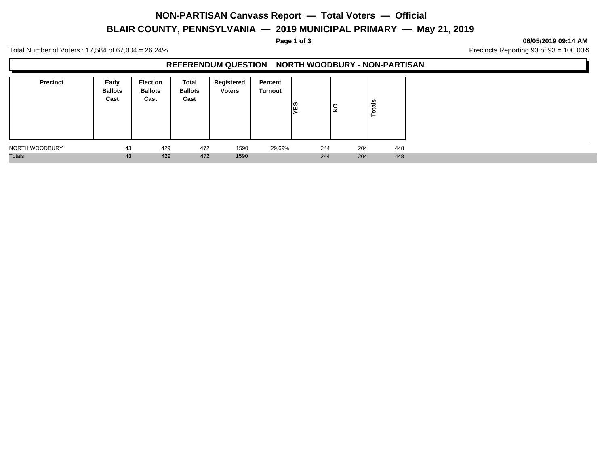### **NON-PARTISAN Canvass Report — Total Voters — Official**

# **BLAIR COUNTY, PENNSYLVANIA — 2019 MUNICIPAL PRIMARY — May 21, 2019**

**Page 1 of 3 06/05/2019 09:14 AM**

Total Number of Voters : 17,584 of 67,004 = 26.24% Precincts Reporting 93 of 93 = 100.00%

#### **REFERENDUM QUESTION NORTH WOODBURY - NON-PARTISAN**

| <b>Precinct</b> | Early<br><b>Ballots</b><br>Cast | Election<br><b>Ballots</b><br>Cast | Total<br><b>Ballots</b><br>Cast | Registered<br><b>Voters</b> | Percent<br>Turnout | <b>NES</b> | l   | Ë<br>$\circ$ |
|-----------------|---------------------------------|------------------------------------|---------------------------------|-----------------------------|--------------------|------------|-----|--------------|
| NORTH WOODBURY  | 43                              | 429                                | 472                             | 1590                        | 29.69%             | 244        | 204 | 448          |
| <b>Totals</b>   | 43                              | 429                                | 472                             | 1590                        |                    | 244        | 204 | 448          |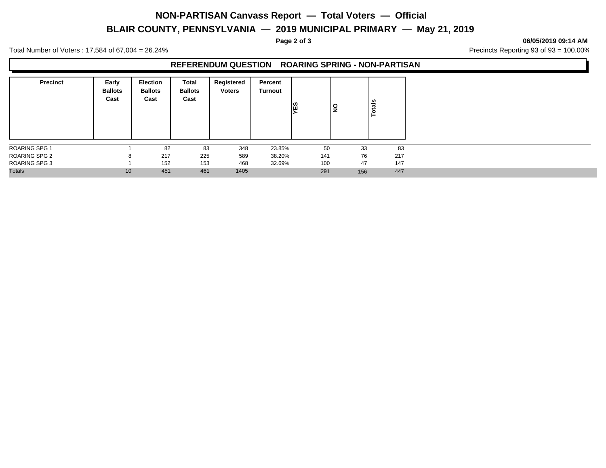### **NON-PARTISAN Canvass Report — Total Voters — Official**

# **BLAIR COUNTY, PENNSYLVANIA — 2019 MUNICIPAL PRIMARY — May 21, 2019**

**Page 2 of 3 06/05/2019 09:14 AM**

Total Number of Voters : 17,584 of 67,004 = 26.24% Precincts Reporting 93 of 93 = 100.00%

#### **REFERENDUM QUESTION ROARING SPRING - NON-PARTISAN**

| <b>Precinct</b>      | Early<br><b>Ballots</b><br>Cast | <b>Election</b><br><b>Ballots</b><br>Cast | <b>Total</b><br><b>Ballots</b><br>Cast | Registered<br><b>Voters</b> | Percent<br><b>Turnout</b> | <b>NES</b> | l<br>2 | otals<br>⊢ |
|----------------------|---------------------------------|-------------------------------------------|----------------------------------------|-----------------------------|---------------------------|------------|--------|------------|
| <b>ROARING SPG 1</b> |                                 | 82                                        | 83                                     | 348                         | 23.85%                    | 50         | 33     | 83         |
| <b>ROARING SPG 2</b> | 8                               | 217                                       | 225                                    | 589                         | 38.20%                    | 141        | 76     | 217        |
| <b>ROARING SPG 3</b> |                                 | 152                                       | 153                                    | 468                         | 32.69%                    | 100        | 47     | 147        |
| <b>Totals</b>        | 10                              | 451                                       | 461                                    | 1405                        |                           | 291        | 156    | 447        |